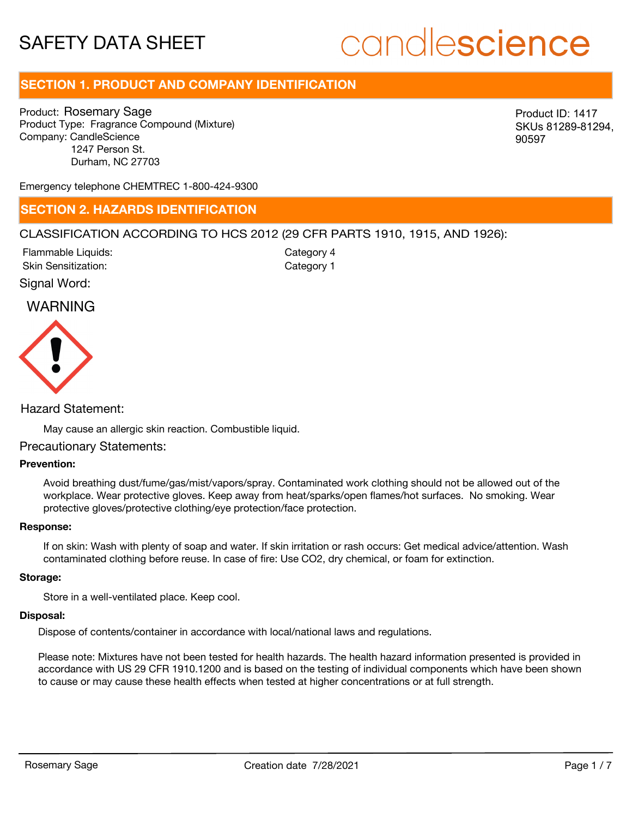# candlescience

# **SECTION 1. PRODUCT AND COMPANY IDENTIFICATION**

Product: Rosemary Sage Product Type: Fragrance Compound (Mixture) Company: CandleScience 1247 Person St. Durham, NC 27703

Product ID: 1417 SKUs 81289-81294, 90597

Emergency telephone CHEMTREC 1-800-424-9300

### **SECTION 2. HAZARDS IDENTIFICATION**

### CLASSIFICATION ACCORDING TO HCS 2012 (29 CFR PARTS 1910, 1915, AND 1926):

Skin Sensitization: Flammable Liquids: Category 1 Category 4

Signal Word:

### WARNING



Hazard Statement:

May cause an allergic skin reaction. Combustible liquid.

### Precautionary Statements:

### **Prevention:**

Avoid breathing dust/fume/gas/mist/vapors/spray. Contaminated work clothing should not be allowed out of the workplace. Wear protective gloves. Keep away from heat/sparks/open flames/hot surfaces. No smoking. Wear protective gloves/protective clothing/eye protection/face protection.

### **Response:**

If on skin: Wash with plenty of soap and water. If skin irritation or rash occurs: Get medical advice/attention. Wash contaminated clothing before reuse. In case of fire: Use CO2, dry chemical, or foam for extinction.

#### **Storage:**

Store in a well-ventilated place. Keep cool.

#### **Disposal:**

Dispose of contents/container in accordance with local/national laws and regulations.

Please note: Mixtures have not been tested for health hazards. The health hazard information presented is provided in accordance with US 29 CFR 1910.1200 and is based on the testing of individual components which have been shown to cause or may cause these health effects when tested at higher concentrations or at full strength.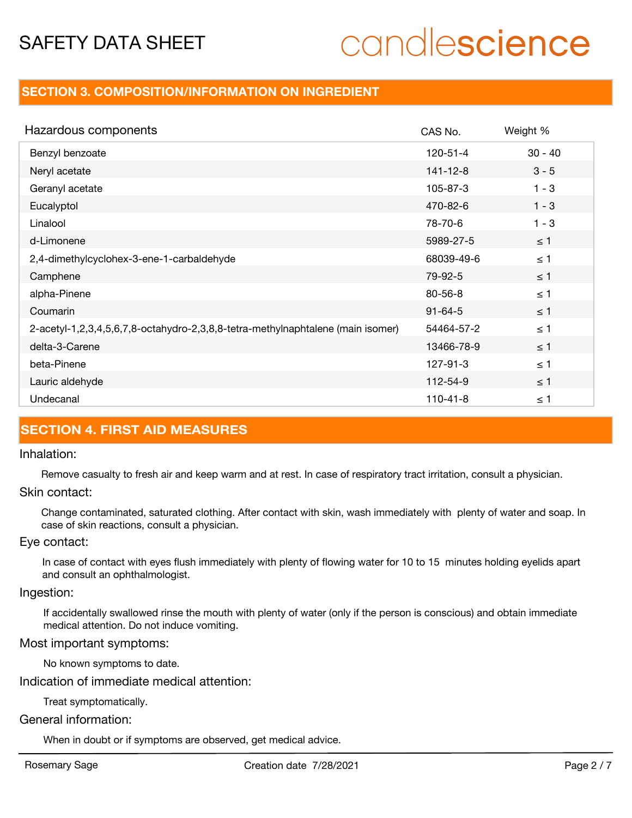# candlescience

### **SECTION 3. COMPOSITION/INFORMATION ON INGREDIENT**

| Hazardous components                                                            | CAS No.        | Weight %  |
|---------------------------------------------------------------------------------|----------------|-----------|
| Benzyl benzoate                                                                 | $120 - 51 - 4$ | $30 - 40$ |
| Neryl acetate                                                                   | 141-12-8       | $3 - 5$   |
| Geranyl acetate                                                                 | 105-87-3       | $1 - 3$   |
| Eucalyptol                                                                      | 470-82-6       | $1 - 3$   |
| Linalool                                                                        | 78-70-6        | $1 - 3$   |
| d-Limonene                                                                      | 5989-27-5      | $\leq 1$  |
| 2,4-dimethylcyclohex-3-ene-1-carbaldehyde                                       | 68039-49-6     | $\leq 1$  |
| Camphene                                                                        | 79-92-5        | $\leq 1$  |
| alpha-Pinene                                                                    | $80 - 56 - 8$  | $\leq 1$  |
| Coumarin                                                                        | $91 - 64 - 5$  | $\leq 1$  |
| 2-acetyl-1,2,3,4,5,6,7,8-octahydro-2,3,8,8-tetra-methylnaphtalene (main isomer) | 54464-57-2     | $\leq 1$  |
| delta-3-Carene                                                                  | 13466-78-9     | $\leq 1$  |
| beta-Pinene                                                                     | 127-91-3       | $\leq 1$  |
| Lauric aldehyde                                                                 | 112-54-9       | $\leq 1$  |
| Undecanal                                                                       | $110 - 41 - 8$ | $\leq$ 1  |

## **SECTION 4. FIRST AID MEASURES**

### Inhalation:

Remove casualty to fresh air and keep warm and at rest. In case of respiratory tract irritation, consult a physician.

### Skin contact:

Change contaminated, saturated clothing. After contact with skin, wash immediately with plenty of water and soap. In case of skin reactions, consult a physician.

### Eye contact:

In case of contact with eyes flush immediately with plenty of flowing water for 10 to 15 minutes holding eyelids apart and consult an ophthalmologist.

### Ingestion:

If accidentally swallowed rinse the mouth with plenty of water (only if the person is conscious) and obtain immediate medical attention. Do not induce vomiting.

### Most important symptoms:

No known symptoms to date.

Indication of immediate medical attention:

Treat symptomatically.

### General information:

When in doubt or if symptoms are observed, get medical advice.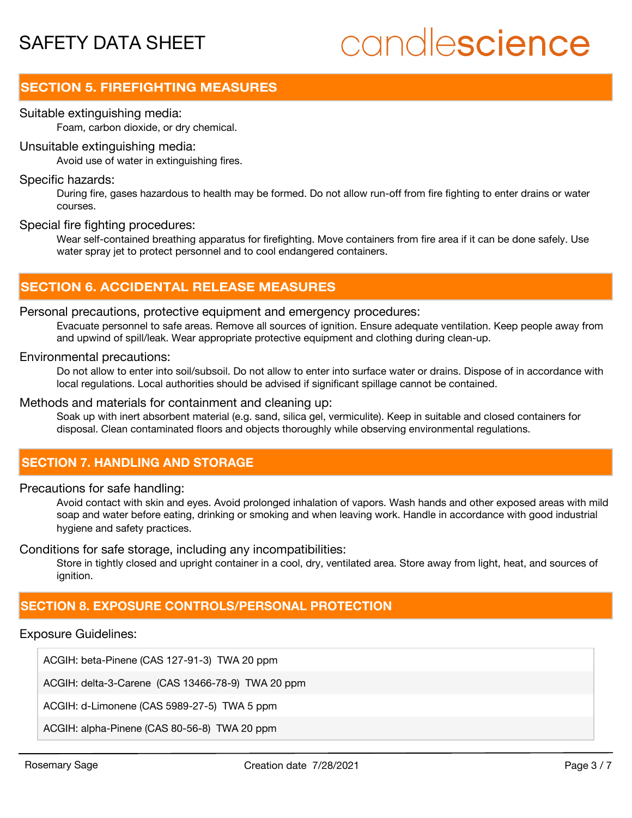# candlescience

# **SECTION 5. FIREFIGHTING MEASURES**

### Suitable extinguishing media:

Foam, carbon dioxide, or dry chemical.

### Unsuitable extinguishing media:

Avoid use of water in extinguishing fires.

### Specific hazards:

During fire, gases hazardous to health may be formed. Do not allow run-off from fire fighting to enter drains or water courses.

### Special fire fighting procedures:

Wear self-contained breathing apparatus for firefighting. Move containers from fire area if it can be done safely. Use water spray jet to protect personnel and to cool endangered containers.

### **SECTION 6. ACCIDENTAL RELEASE MEASURES**

### Personal precautions, protective equipment and emergency procedures:

Evacuate personnel to safe areas. Remove all sources of ignition. Ensure adequate ventilation. Keep people away from and upwind of spill/leak. Wear appropriate protective equipment and clothing during clean-up.

### Environmental precautions:

Do not allow to enter into soil/subsoil. Do not allow to enter into surface water or drains. Dispose of in accordance with local regulations. Local authorities should be advised if significant spillage cannot be contained.

### Methods and materials for containment and cleaning up:

Soak up with inert absorbent material (e.g. sand, silica gel, vermiculite). Keep in suitable and closed containers for disposal. Clean contaminated floors and objects thoroughly while observing environmental regulations.

## **SECTION 7. HANDLING AND STORAGE**

### Precautions for safe handling:

Avoid contact with skin and eyes. Avoid prolonged inhalation of vapors. Wash hands and other exposed areas with mild soap and water before eating, drinking or smoking and when leaving work. Handle in accordance with good industrial hygiene and safety practices.

Conditions for safe storage, including any incompatibilities:

Store in tightly closed and upright container in a cool, dry, ventilated area. Store away from light, heat, and sources of ianition.

## **SECTION 8. EXPOSURE CONTROLS/PERSONAL PROTECTION**

### Exposure Guidelines:

ACGIH: beta-Pinene (CAS 127-91-3) TWA 20 ppm

ACGIH: delta-3-Carene (CAS 13466-78-9) TWA 20 ppm

ACGIH: d-Limonene (CAS 5989-27-5) TWA 5 ppm

ACGIH: alpha-Pinene (CAS 80-56-8) TWA 20 ppm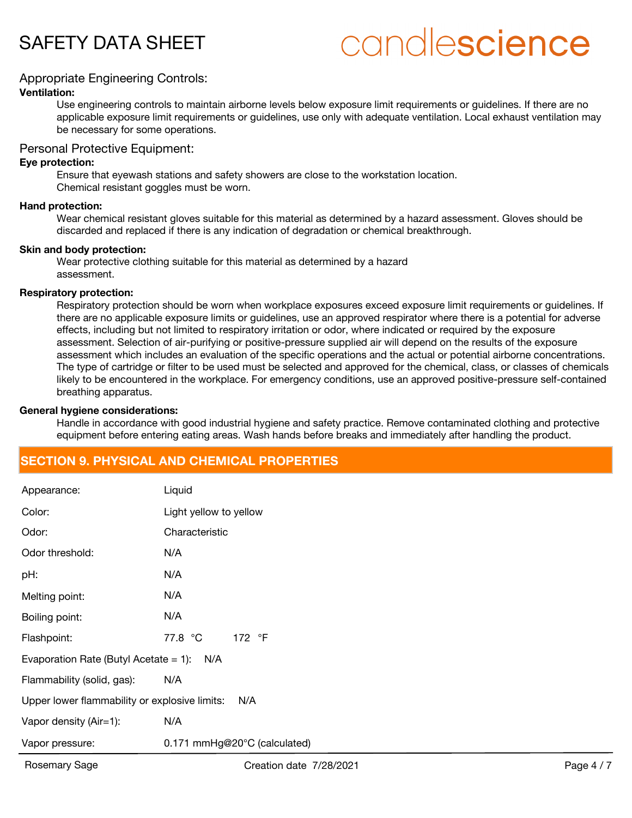# candlescience

### Appropriate Engineering Controls:

### **Ventilation:**

Use engineering controls to maintain airborne levels below exposure limit requirements or guidelines. If there are no applicable exposure limit requirements or guidelines, use only with adequate ventilation. Local exhaust ventilation may be necessary for some operations.

### Personal Protective Equipment:

### **Eye protection:**

Ensure that eyewash stations and safety showers are close to the workstation location. Chemical resistant goggles must be worn.

### **Hand protection:**

Wear chemical resistant gloves suitable for this material as determined by a hazard assessment. Gloves should be discarded and replaced if there is any indication of degradation or chemical breakthrough.

### **Skin and body protection:**

Wear protective clothing suitable for this material as determined by a hazard assessment.

### **Respiratory protection:**

Respiratory protection should be worn when workplace exposures exceed exposure limit requirements or guidelines. If there are no applicable exposure limits or guidelines, use an approved respirator where there is a potential for adverse effects, including but not limited to respiratory irritation or odor, where indicated or required by the exposure assessment. Selection of air-purifying or positive-pressure supplied air will depend on the results of the exposure assessment which includes an evaluation of the specific operations and the actual or potential airborne concentrations. The type of cartridge or filter to be used must be selected and approved for the chemical, class, or classes of chemicals likely to be encountered in the workplace. For emergency conditions, use an approved positive-pressure self-contained breathing apparatus.

### **General hygiene considerations:**

Handle in accordance with good industrial hygiene and safety practice. Remove contaminated clothing and protective equipment before entering eating areas. Wash hands before breaks and immediately after handling the product.

## **SECTION 9. PHYSICAL AND CHEMICAL PROPERTIES**

| Appearance:                                          | Liquid                       |  |
|------------------------------------------------------|------------------------------|--|
| Color:                                               | Light yellow to yellow       |  |
| Odor:                                                | Characteristic               |  |
| Odor threshold:                                      | N/A                          |  |
| pH:                                                  | N/A                          |  |
| Melting point:                                       | N/A                          |  |
| Boiling point:                                       | N/A                          |  |
| Flashpoint:                                          | 77.8 °C 172 °F               |  |
| Evaporation Rate (Butyl Acetate $= 1$ ):<br>N/A      |                              |  |
| Flammability (solid, gas):                           | N/A                          |  |
| Upper lower flammability or explosive limits:<br>N/A |                              |  |
| Vapor density (Air=1):                               | N/A                          |  |
| Vapor pressure:                                      | 0.171 mmHg@20°C (calculated) |  |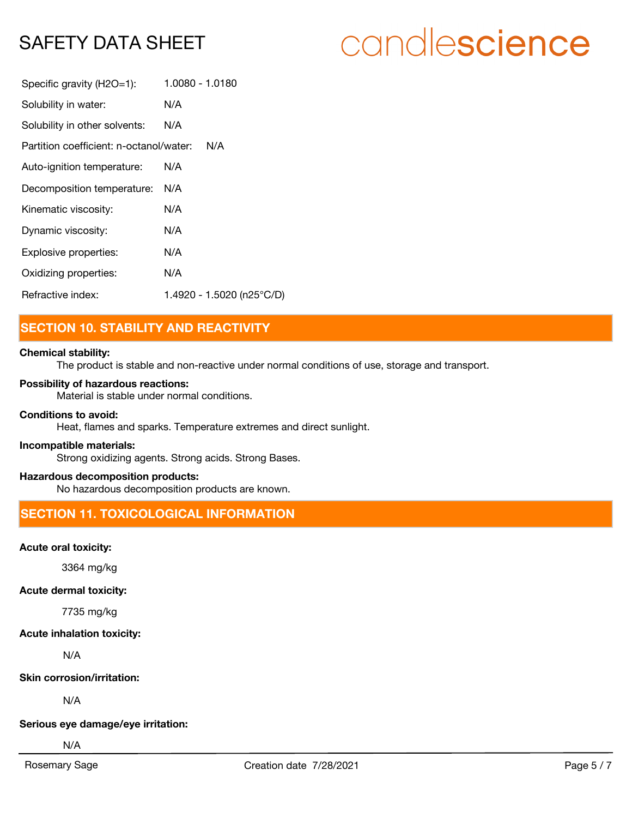# candlescience

| Specific gravity (H2O=1):               | 1.0080 - 1.0180           |
|-----------------------------------------|---------------------------|
| Solubility in water:                    | N/A                       |
| Solubility in other solvents:           | N/A                       |
| Partition coefficient: n-octanol/water: | N/A                       |
| Auto-ignition temperature:              | N/A                       |
| Decomposition temperature:              | N/A                       |
| Kinematic viscosity:                    | N/A                       |
| Dynamic viscosity:                      | N/A                       |
| Explosive properties:                   | N/A                       |
| Oxidizing properties:                   | N/A                       |
| Refractive index:                       | 1.4920 - 1.5020 (n25°C/D) |

# **SECTION 10. STABILITY AND REACTIVITY**

### **Chemical stability:**

The product is stable and non-reactive under normal conditions of use, storage and transport.

### **Possibility of hazardous reactions:**

Material is stable under normal conditions.

### **Conditions to avoid:**

Heat, flames and sparks. Temperature extremes and direct sunlight.

### **Incompatible materials:**

Strong oxidizing agents. Strong acids. Strong Bases.

### **Hazardous decomposition products:**

No hazardous decomposition products are known.

# **SECTION 11. TOXICOLOGICAL INFORMATION**

### **Acute oral toxicity:**

3364 mg/kg

### **Acute dermal toxicity:**

7735 mg/kg

### **Acute inhalation toxicity:**

N/A

### **Skin corrosion/irritation:**

N/A

### **Serious eye damage/eye irritation:**

N/A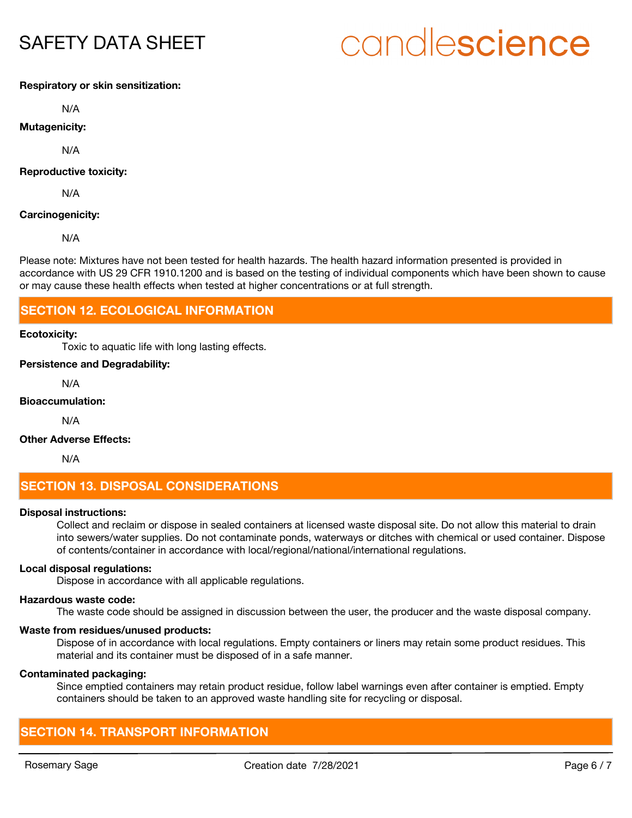# candlescience

### **Respiratory or skin sensitization:**

N/A

### **Mutagenicity:**

N/A

### **Reproductive toxicity:**

N/A

### **Carcinogenicity:**

N/A

Please note: Mixtures have not been tested for health hazards. The health hazard information presented is provided in accordance with US 29 CFR 1910.1200 and is based on the testing of individual components which have been shown to cause or may cause these health effects when tested at higher concentrations or at full strength.

### **SECTION 12. ECOLOGICAL INFORMATION**

#### **Ecotoxicity:**

Toxic to aquatic life with long lasting effects.

### **Persistence and Degradability:**

N/A

### **Bioaccumulation:**

N/A

### **Other Adverse Effects:**

N/A

## **SECTION 13. DISPOSAL CONSIDERATIONS**

### **Disposal instructions:**

Collect and reclaim or dispose in sealed containers at licensed waste disposal site. Do not allow this material to drain into sewers/water supplies. Do not contaminate ponds, waterways or ditches with chemical or used container. Dispose of contents/container in accordance with local/regional/national/international regulations.

### **Local disposal regulations:**

Dispose in accordance with all applicable regulations.

#### **Hazardous waste code:**

The waste code should be assigned in discussion between the user, the producer and the waste disposal company.

### **Waste from residues/unused products:**

Dispose of in accordance with local regulations. Empty containers or liners may retain some product residues. This material and its container must be disposed of in a safe manner.

#### **Contaminated packaging:**

Since emptied containers may retain product residue, follow label warnings even after container is emptied. Empty containers should be taken to an approved waste handling site for recycling or disposal.

## **SECTION 14. TRANSPORT INFORMATION**